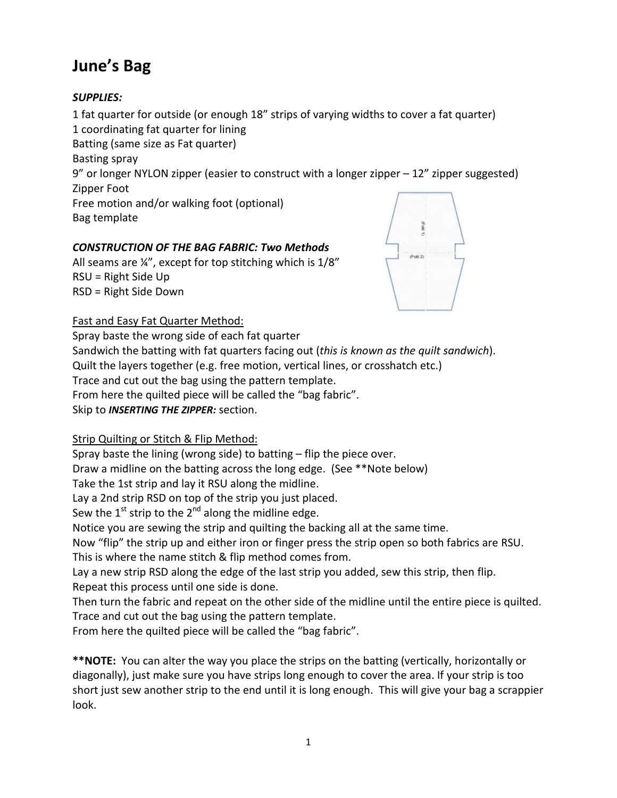# **June's Bag**

## *SUPPLIES:*

1 fat quarter for outside (or enough 18" strips of varying widths to cover a fat quarter) 1 coordinating fat quarter for lining Batting (same size as Fat quarter) Basting spray 9" or longer NYLON zipper (easier to construct with a longer zipper – 12" zipper suggested) Zipper Foot Free motion and/or walking foot (optional) Bag template

# *CONSTRUCTION OF THE BAG FABRIC: Two Methods*

All seams are ¼", except for top stitching which is 1/8" RSU = Right Side Up RSD = Right Side Down



## Fast and Easy Fat Quarter Method:

Spray baste the wrong side of each fat quarter Sandwich the batting with fat quarters facing out (*this is known as the quilt sandwich*). Quilt the layers together (e.g. free motion, vertical lines, or crosshatch etc.) Trace and cut out the bag using the pattern template. From here the quilted piece will be called the "bag fabric". Skip to *INSERTING THE ZIPPER:* section.

# Strip Quilting or Stitch & Flip Method:

Spray baste the lining (wrong side) to batting – flip the piece over.

Draw a midline on the batting across the long edge. (See \*\*Note below)

Take the 1st strip and lay it RSU along the midline.

Lay a 2nd strip RSD on top of the strip you just placed.

Sew the  $1^{st}$  strip to the  $2^{nd}$  along the midline edge.

Notice you are sewing the strip and quilting the backing all at the same time.

Now "flip" the strip up and either iron or finger press the strip open so both fabrics are RSU.

This is where the name stitch & flip method comes from.

Lay a new strip RSD along the edge of the last strip you added, sew this strip, then flip. Repeat this process until one side is done.

Then turn the fabric and repeat on the other side of the midline until the entire piece is quilted. Trace and cut out the bag using the pattern template.

From here the quilted piece will be called the "bag fabric".

**\*\*NOTE:** You can alter the way you place the strips on the batting (vertically, horizontally or diagonally), just make sure you have strips long enough to cover the area. If your strip is too short just sew another strip to the end until it is long enough. This will give your bag a scrappier look.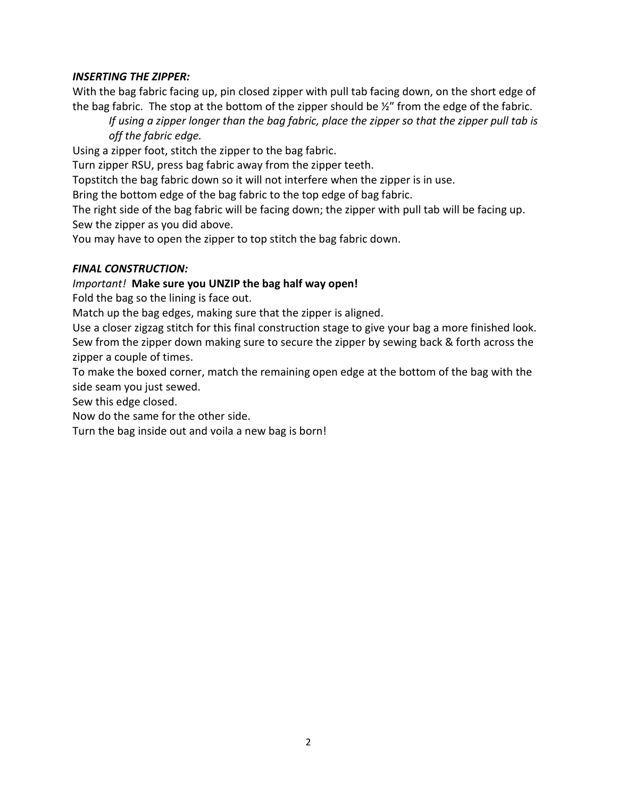### *INSERTING THE ZIPPER:*

With the bag fabric facing up, pin closed zipper with pull tab facing down, on the short edge of the bag fabric. The stop at the bottom of the zipper should be  $\frac{1}{2}$  from the edge of the fabric.

*If using a zipper longer than the bag fabric, place the zipper so that the zipper pull tab is off the fabric edge.*

Using a zipper foot, stitch the zipper to the bag fabric.

Turn zipper RSU, press bag fabric away from the zipper teeth.

Topstitch the bag fabric down so it will not interfere when the zipper is in use.

Bring the bottom edge of the bag fabric to the top edge of bag fabric.

The right side of the bag fabric will be facing down; the zipper with pull tab will be facing up. Sew the zipper as you did above.

You may have to open the zipper to top stitch the bag fabric down.

### *FINAL CONSTRUCTION:*

### *Important!* **Make sure you UNZIP the bag half way open!**

Fold the bag so the lining is face out.

Match up the bag edges, making sure that the zipper is aligned.

Use a closer zigzag stitch for this final construction stage to give your bag a more finished look. Sew from the zipper down making sure to secure the zipper by sewing back & forth across the zipper a couple of times.

To make the boxed corner, match the remaining open edge at the bottom of the bag with the side seam you just sewed.

Sew this edge closed.

Now do the same for the other side.

Turn the bag inside out and voila a new bag is born!